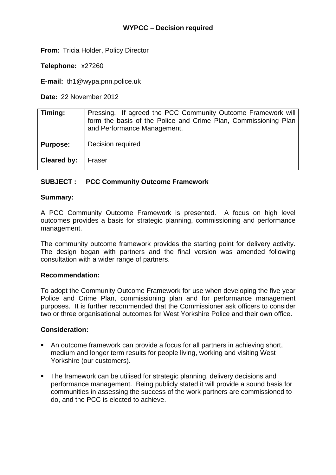**From:** Tricia Holder, Policy Director

**Telephone:** x27260

**E-mail:** th1@wypa.pnn.police.uk

**Date:** 22 November 2012

| Timing:         | Pressing. If agreed the PCC Community Outcome Framework will<br>form the basis of the Police and Crime Plan, Commissioning Plan<br>and Performance Management. |
|-----------------|----------------------------------------------------------------------------------------------------------------------------------------------------------------|
| <b>Purpose:</b> | Decision required                                                                                                                                              |
| Cleared by:     | Fraser                                                                                                                                                         |

# **SUBJECT : PCC Community Outcome Framework**

## **Summary:**

A PCC Community Outcome Framework is presented. A focus on high level outcomes provides a basis for strategic planning, commissioning and performance management.

The community outcome framework provides the starting point for delivery activity. The design began with partners and the final version was amended following consultation with a wider range of partners.

#### **Recommendation:**

To adopt the Community Outcome Framework for use when developing the five year Police and Crime Plan, commissioning plan and for performance management purposes. It is further recommended that the Commissioner ask officers to consider two or three organisational outcomes for West Yorkshire Police and their own office.

## **Consideration:**

- An outcome framework can provide a focus for all partners in achieving short, medium and longer term results for people living, working and visiting West Yorkshire (our customers).
- The framework can be utilised for strategic planning, delivery decisions and performance management. Being publicly stated it will provide a sound basis for communities in assessing the success of the work partners are commissioned to do, and the PCC is elected to achieve.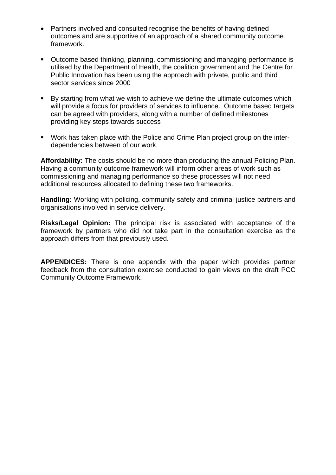- Partners involved and consulted recognise the benefits of having defined outcomes and are supportive of an approach of a shared community outcome framework.
- Outcome based thinking, planning, commissioning and managing performance is utilised by the Department of Health, the coalition government and the Centre for Public Innovation has been using the approach with private, public and third sector services since 2000
- By starting from what we wish to achieve we define the ultimate outcomes which will provide a focus for providers of services to influence. Outcome based targets can be agreed with providers, along with a number of defined milestones providing key steps towards success
- Work has taken place with the Police and Crime Plan project group on the interdependencies between of our work.

**Affordability:** The costs should be no more than producing the annual Policing Plan. Having a community outcome framework will inform other areas of work such as commissioning and managing performance so these processes will not need additional resources allocated to defining these two frameworks.

**Handling:** Working with policing, community safety and criminal justice partners and organisations involved in service delivery.

**Risks/Legal Opinion:** The principal risk is associated with acceptance of the framework by partners who did not take part in the consultation exercise as the approach differs from that previously used.

**APPENDICES:** There is one appendix with the paper which provides partner feedback from the consultation exercise conducted to gain views on the draft PCC Community Outcome Framework.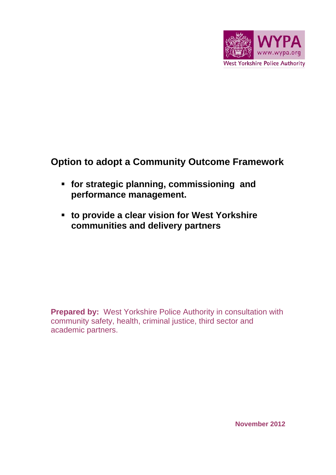

# **Option to adopt a Community Outcome Framework**

- **for strategic planning, commissioning and performance management.**
- **to provide a clear vision for West Yorkshire communities and delivery partners**

**Prepared by: West Yorkshire Police Authority in consultation with** community safety, health, criminal justice, third sector and academic partners.

**November 2012**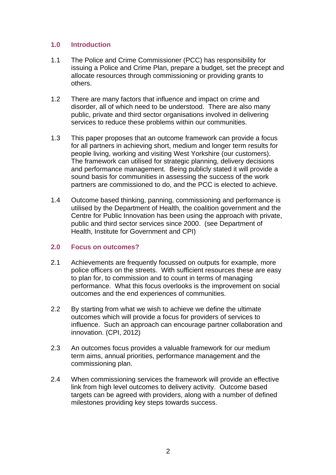## **1.0 Introduction**

- 1.1 The Police and Crime Commissioner (PCC) has responsibility for issuing a Police and Crime Plan, prepare a budget, set the precept and allocate resources through commissioning or providing grants to others.
- 1.2 There are many factors that influence and impact on crime and disorder, all of which need to be understood. There are also many public, private and third sector organisations involved in delivering services to reduce these problems within our communities.
- 1.3 This paper proposes that an outcome framework can provide a focus for all partners in achieving short, medium and longer term results for people living, working and visiting West Yorkshire (our customers). The framework can utilised for strategic planning, delivery decisions and performance management. Being publicly stated it will provide a sound basis for communities in assessing the success of the work partners are commissioned to do, and the PCC is elected to achieve.
- 1.4 Outcome based thinking, panning, commissioning and performance is utilised by the Department of Health, the coalition government and the Centre for Public Innovation has been using the approach with private, public and third sector services since 2000. (see Department of Health, Institute for Government and CPI)

## **2.0 Focus on outcomes?**

- 2.1 Achievements are frequently focussed on outputs for example, more police officers on the streets. With sufficient resources these are easy to plan for, to commission and to count in terms of managing performance. What this focus overlooks is the improvement on social outcomes and the end experiences of communities.
- 2.2 By starting from what we wish to achieve we define the ultimate outcomes which will provide a focus for providers of services to influence. Such an approach can encourage partner collaboration and innovation. (CPI, 2012)
- 2.3 An outcomes focus provides a valuable framework for our medium term aims, annual priorities, performance management and the commissioning plan.
- 2.4 When commissioning services the framework will provide an effective link from high level outcomes to delivery activity. Outcome based targets can be agreed with providers, along with a number of defined milestones providing key steps towards success.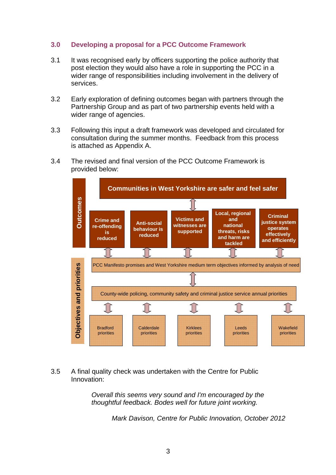## **3.0 Developing a proposal for a PCC Outcome Framework**

- 3.1 It was recognised early by officers supporting the police authority that post election they would also have a role in supporting the PCC in a wider range of responsibilities including involvement in the delivery of services.
- 3.2 Early exploration of defining outcomes began with partners through the Partnership Group and as part of two partnership events held with a wider range of agencies.
- 3.3 Following this input a draft framework was developed and circulated for consultation during the summer months. Feedback from this process is attached as Appendix A.
- 3.4 The revised and final version of the PCC Outcome Framework is provided below:



## 3.5 A final quality check was undertaken with the Centre for Public Innovation:

*Overall this seems very sound and I'm encouraged by the thoughtful feedback. Bodes well for future joint working.* 

*Mark Davison, Centre for Public Innovation, October 2012*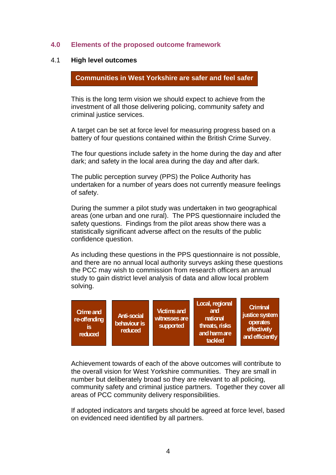## **4.0 Elements of the proposed outcome framework**

#### 4.1 **High level outcomes**

 **Communities in West Yorkshire are safer and feel safer** 

This is the long term vision we should expect to achieve from the investment of all those delivering policing, community safety and criminal justice services.

A target can be set at force level for measuring progress based on a battery of four questions contained within the British Crime Survey.

The four questions include safety in the home during the day and after dark; and safety in the local area during the day and after dark.

The public perception survey (PPS) the Police Authority has undertaken for a number of years does not currently measure feelings of safety.

During the summer a pilot study was undertaken in two geographical areas (one urban and one rural). The PPS questionnaire included the safety questions. Findings from the pilot areas show there was a statistically significant adverse affect on the results of the public confidence question.

As including these questions in the PPS questionnaire is not possible, and there are no annual local authority surveys asking these questions the PCC may wish to commission from research officers an annual study to gain district level analysis of data and allow local problem solving.



Achievement towards of each of the above outcomes will contribute to the overall vision for West Yorkshire communities. They are small in number but deliberately broad so they are relevant to all policing, community safety and criminal justice partners. Together they cover all areas of PCC community delivery responsibilities.

If adopted indicators and targets should be agreed at force level, based on evidenced need identified by all partners.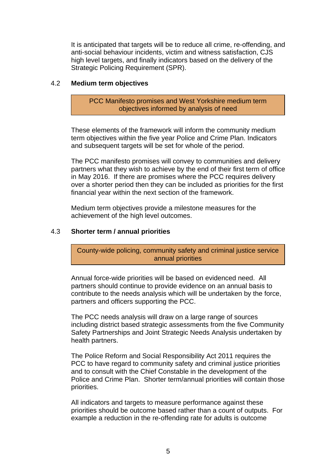It is anticipated that targets will be to reduce all crime, re-offending, and anti-social behaviour incidents, victim and witness satisfaction, CJS high level targets, and finally indicators based on the delivery of the Strategic Policing Requirement (SPR).

## 4.2 **Medium term objectives**

PCC Manifesto promises and West Yorkshire medium term objectives informed by analysis of need

These elements of the framework will inform the community medium term objectives within the five year Police and Crime Plan. Indicators and subsequent targets will be set for whole of the period.

The PCC manifesto promises will convey to communities and delivery partners what they wish to achieve by the end of their first term of office in May 2016. If there are promises where the PCC requires delivery over a shorter period then they can be included as priorities for the first financial year within the next section of the framework.

Medium term objectives provide a milestone measures for the achievement of the high level outcomes.

## 4.3 **Shorter term / annual priorities**

County-wide policing, community safety and criminal justice service annual priorities

Annual force-wide priorities will be based on evidenced need. All partners should continue to provide evidence on an annual basis to contribute to the needs analysis which will be undertaken by the force, partners and officers supporting the PCC.

The PCC needs analysis will draw on a large range of sources including district based strategic assessments from the five Community Safety Partnerships and Joint Strategic Needs Analysis undertaken by health partners.

The Police Reform and Social Responsibility Act 2011 requires the PCC to have regard to community safety and criminal justice priorities and to consult with the Chief Constable in the development of the Police and Crime Plan. Shorter term/annual priorities will contain those priorities.

All indicators and targets to measure performance against these priorities should be outcome based rather than a count of outputs. For example a reduction in the re-offending rate for adults is outcome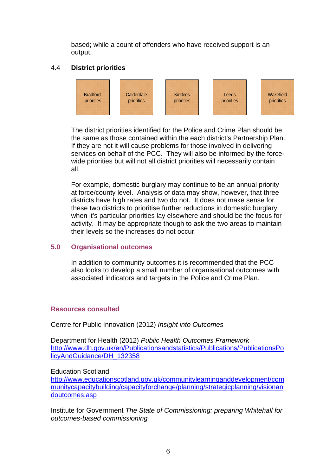based; while a count of offenders who have received support is an output.

# 4.4 **District priorities**



The district priorities identified for the Police and Crime Plan should be the same as those contained within the each district's Partnership Plan. If they are not it will cause problems for those involved in delivering services on behalf of the PCC. They will also be informed by the forcewide priorities but will not all district priorities will necessarily contain all.

For example, domestic burglary may continue to be an annual priority at force/county level. Analysis of data may show, however, that three districts have high rates and two do not. It does not make sense for these two districts to prioritise further reductions in domestic burglary when it's particular priorities lay elsewhere and should be the focus for activity. It may be appropriate though to ask the two areas to maintain their levels so the increases do not occur.

# **5.0 Organisational outcomes**

In addition to community outcomes it is recommended that the PCC also looks to develop a small number of organisational outcomes with associated indicators and targets in the Police and Crime Plan.

## **Resources consulted**

Centre for Public Innovation (2012) *Insight into Outcomes* 

Department for Health (2012) *Public Health Outcomes Framework*  [http://www.dh.gov.uk/en/Publicationsandstatistics/Publications/PublicationsPo](http://www.dh.gov.uk/en/Publicationsandstatistics/Publications/PublicationsPolicyAndGuidance/DH_132358) [licyAndGuidance/DH\\_132358](http://www.dh.gov.uk/en/Publicationsandstatistics/Publications/PublicationsPolicyAndGuidance/DH_132358)

## Education Scotland

[http://www.educationscotland.gov.uk/communitylearninganddevelopment/com](http://www.educationscotland.gov.uk/communitylearninganddevelopment/communitycapacitybuilding/capacityforchange/planning/strategicplanning/visionandoutcomes.asp) [munitycapacitybuilding/capacityforchange/planning/strategicplanning/visionan](http://www.educationscotland.gov.uk/communitylearninganddevelopment/communitycapacitybuilding/capacityforchange/planning/strategicplanning/visionandoutcomes.asp) [doutcomes.asp](http://www.educationscotland.gov.uk/communitylearninganddevelopment/communitycapacitybuilding/capacityforchange/planning/strategicplanning/visionandoutcomes.asp)

Institute for Government *The State of Commissioning: preparing Whitehall for outcomes-based commissioning*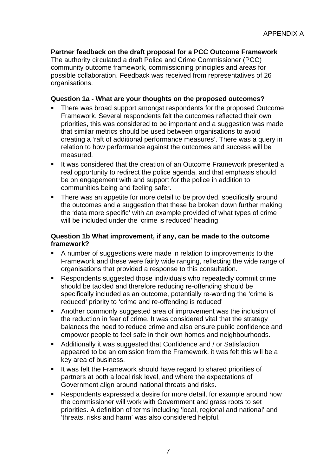**Partner feedback on the draft proposal for a PCC Outcome Framework**  The authority circulated a draft Police and Crime Commissioner (PCC) community outcome framework, commissioning principles and areas for possible collaboration. Feedback was received from representatives of 26 organisations.

## **Question 1a - What are your thoughts on the proposed outcomes?**

- There was broad support amongst respondents for the proposed Outcome Framework. Several respondents felt the outcomes reflected their own priorities, this was considered to be important and a suggestion was made that similar metrics should be used between organisations to avoid creating a 'raft of additional performance measures'. There was a query in relation to how performance against the outcomes and success will be measured.
- It was considered that the creation of an Outcome Framework presented a real opportunity to redirect the police agenda, and that emphasis should be on engagement with and support for the police in addition to communities being and feeling safer.
- There was an appetite for more detail to be provided, specifically around the outcomes and a suggestion that these be broken down further making the 'data more specific' with an example provided of what types of crime will be included under the 'crime is reduced' heading.

## **Question 1b What improvement, if any, can be made to the outcome framework?**

- A number of suggestions were made in relation to improvements to the Framework and these were fairly wide ranging, reflecting the wide range of organisations that provided a response to this consultation.
- Respondents suggested those individuals who repeatedly commit crime should be tackled and therefore reducing re-offending should be specifically included as an outcome, potentially re-wording the 'crime is reduced' priority to 'crime and re-offending is reduced'
- Another commonly suggested area of improvement was the inclusion of the reduction in fear of crime. It was considered vital that the strategy balances the need to reduce crime and also ensure public confidence and empower people to feel safe in their own homes and neighbourhoods.
- Additionally it was suggested that Confidence and / or Satisfaction appeared to be an omission from the Framework, it was felt this will be a key area of business.
- It was felt the Framework should have regard to shared priorities of partners at both a local risk level, and where the expectations of Government align around national threats and risks.
- Respondents expressed a desire for more detail, for example around how the commissioner will work with Government and grass roots to set priorities. A definition of terms including 'local, regional and national' and 'threats, risks and harm' was also considered helpful.